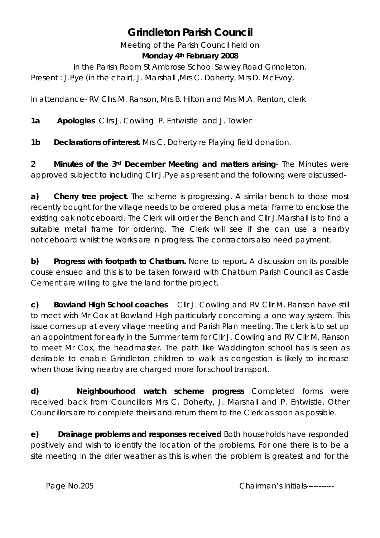# **Grindleton Parish Council**

Meeting of the Parish Council held on **Monday 4th February 2008** 

In the Parish Room St Ambrose School Sawley Road Grindleton. Present : J.Pye (in the chair), J. Marshall , Mrs C. Doherty, Mrs D. McEvoy,

In attendance- RV Cllrs M. Ranson, Mrs B. Hilton and Mrs M.A. Renton, clerk

**1a Apologies** Cllrs J. Cowling P. Entwistle and J. Towler

**1b Declarations of interest.** Mrs C. Doherty re Playing field donation.

**2 Minutes of the 3rd December Meeting and matters arising**- The Minutes were approved subject to including Cllr J.Pye as present and the following were discussed-

**a) Cherry tree project.** The scheme is progressing. A similar bench to those most recently bought for the village needs to be ordered plus a metal frame to enclose the existing oak noticeboard. The Clerk will order the Bench and Cllr J.Marshall is to find a suitable metal frame for ordering. The Clerk will see if she can use a nearby noticeboard whilst the works are in progress. The contractors also need payment.

**b) Progress with footpath to Chatburn.** None to report**.** A discussion on its possible couse ensued and this is to be taken forward with Chatburn Parish Council as Castle Cement are willing to give the land for the project.

**c) Bowland High School coaches** Cllr J. Cowling and RV Cllr M. Ranson have still to meet with Mr Cox at Bowland High particularly concerning a one way system. This issue comes up at every village meeting and Parish Plan meeting. The clerk is to set up an appointment for early in the Summer term for Cllr J. Cowling and RV Cllr M. Ranson to meet Mr Cox, the headmaster. The path like Waddington school has is seen as desirable to enable Grindleton children to walk as congestion is likely to increase when those living nearby are charged more for school transport.

**d) Neighbourhood watch scheme progress** Completed forms were received back from Councillors Mrs C. Doherty, J. Marshall and P. Entwistle. Other Councillors are to complete theirs and return them to the Clerk as soon as possible.

**e) Drainage problems and responses received** Both households have responded positively and wish to identify the location of the problems. For one there is to be a site meeting in the drier weather as this is when the problem is greatest and for the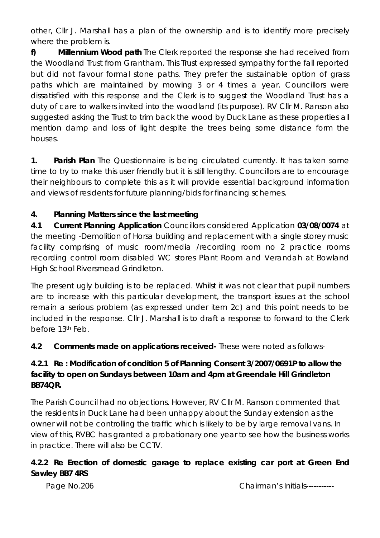other, Cllr J. Marshall has a plan of the ownership and is to identify more precisely where the problem is.

**f) Millennium Wood path** The Clerk reported the response she had received from the Woodland Trust from Grantham. This Trust expressed sympathy for the fall reported but did not favour formal stone paths. They prefer the sustainable option of grass paths which are maintained by mowing 3 or 4 times a year. Councillors were dissatisfied with this response and the Clerk is to suggest the Woodland Trust has a duty of care to walkers invited into the woodland (its purpose). RV Cllr M. Ranson also suggested asking the Trust to trim back the wood by Duck Lane as these properties all mention damp and loss of light despite the trees being some distance form the houses.

**1. Parish Plan** The Questionnaire is being circulated currently. It has taken some time to try to make this user friendly but it is still lengthy. Councillors are to encourage their neighbours to complete this as it will provide essential background information and views of residents for future planning/bids for financing schemes.

### **4. Planning Matters since the last meeting**

**4.1 Current Planning Application** Councillors considered Application **03/08/0074** at the meeting -Demolition of Horsa building and replacement with a single storey music facility comprising of music room/media /recording room no 2 practice rooms recording control room disabled WC stores Plant Room and Verandah at Bowland High School Riversmead Grindleton.

The present ugly building is to be replaced. Whilst it was not clear that pupil numbers are to increase with this particular development, the transport issues at the school remain a serious problem (as expressed under item 2c) and this point needs to be included in the response. Cllr J. Marshall is to draft a response to forward to the Clerk before 13th Feb.

**4.2 Comments made on applications received-** These were noted as follows-

## **4.2.1 Re : Modification of condition 5 of Planning Consent 3/2007/0691P to allow the facility to open on Sundays between 10am and 4pm at Greendale Hill Grindleton BB74QR.**

The Parish Council had no objections. However, RV Cllr M. Ranson commented that the residents in Duck Lane had been unhappy about the Sunday extension as the owner will not be controlling the traffic which is likely to be by large removal vans. In view of this, RVBC has granted a probationary one year to see how the business works in practice. There will also be CCTV.

#### **4.2.2 Re Erection of domestic garage to replace existing car port at Green End Sawley BB7 4RS**

Page No.206 Chairman's Initials------------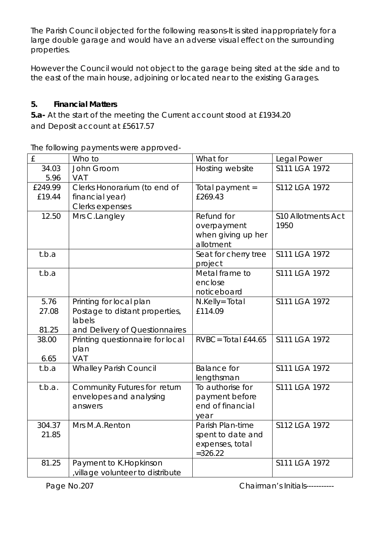The Parish Council objected for the following reasons-It is sited inappropriately for a large double garage and would have an adverse visual effect on the surrounding properties.

However the Council would not object to the garage being sited at the side and to the east of the main house, adjoining or located near to the existing Garages.

#### **5. Financial Matters**

**5.a-** At the start of the meeting the Current account stood at £1934.20 and Deposit account at £5617.57

The following payments were approved-

| £                 | Who to                                                              | What for                                                               | Legal Power                       |
|-------------------|---------------------------------------------------------------------|------------------------------------------------------------------------|-----------------------------------|
| 34.03<br>5.96     | John Groom<br><b>VAT</b>                                            | Hosting website                                                        | S111 LGA 1972                     |
| £249.99<br>£19.44 | Clerks Honorarium (to end of<br>financial year)<br>Clerks expenses  | Total payment =<br>£269.43                                             | S112 LGA 1972                     |
| 12.50             | Mrs C.Langley                                                       | Refund for<br>overpayment<br>when giving up her<br>allotment           | <b>S10 Allotments Act</b><br>1950 |
| t.b.a             |                                                                     | Seat for cherry tree<br>project                                        | S111 LGA 1972                     |
| t.b.a             |                                                                     | Metal frame to<br>enclose<br>noticeboard                               | S111 LGA 1972                     |
| 5.76<br>27.08     | Printing for local plan<br>Postage to distant properties,<br>labels | N.Kelly= Total<br>£114.09                                              | S111 LGA 1972                     |
| 81.25             | and Delivery of Questionnaires                                      |                                                                        |                                   |
| 38.00<br>6.65     | Printing questionnaire for local<br>plan<br>VAT                     | $RVBC = Total E44.65$                                                  | S111 LGA 1972                     |
| t.b.a             | <b>Whalley Parish Council</b>                                       | <b>Balance for</b><br>lengthsman                                       | S111 LGA 1972                     |
| t.b.a.            | Community Futures for return<br>envelopes and analysing<br>answers  | To authorise for<br>payment before<br>end of financial<br>year         | S111 LGA 1972                     |
| 304.37<br>21.85   | Mrs M.A.Renton                                                      | Parish Plan-time<br>spent to date and<br>expenses, total<br>$= 326.22$ | S112 LGA 1972                     |
| 81.25             | Payment to K.Hopkinson<br>village volunteer to distribute           |                                                                        | S111 LGA 1972                     |

Page No.207 Chairman's Initials-----------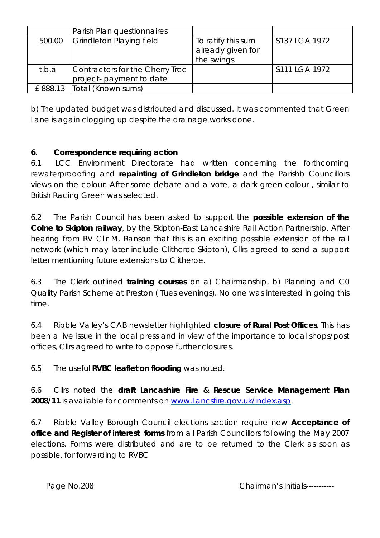|        | Parish Plan questionnaires                                  |                                                       |               |
|--------|-------------------------------------------------------------|-------------------------------------------------------|---------------|
| 500.00 | <b>Grindleton Playing field</b>                             | To ratify this sum<br>already given for<br>the swings | S137 LGA 1972 |
| t.b.a  | Contractors for the Cherry Tree<br>project- payment to date |                                                       | S111 LGA 1972 |
|        | £888.13   Total (Known sums)                                |                                                       |               |

b) The updated budget was distributed and discussed. It was commented that Green Lane is again clogging up despite the drainage works done.

#### **6. Correspondence requiring action**

6.1 LCC Environment Directorate had written concerning the forthcoming rewaterprooofing and **repainting of Grindleton bridge** and the Parishb Councillors views on the colour. After some debate and a vote, a dark green colour , similar to British Racing Green was selected.

6.2 The Parish Council has been asked to support the **possible extension of the Colne to Skipton railway**, by the Skipton-East Lancashire Rail Action Partnership. After hearing from RV Cllr M. Ranson that this is an exciting possible extension of the rail network (which may later include Clitheroe-Skipton), Cllrs agreed to send a support letter mentioning future extensions to Clitheroe.

6.3 The Clerk outlined **training courses** on a) Chairmanship, b) Planning and C0 Quality Parish Scheme at Preston ( Tues evenings). No one was interested in going this time.

6.4 Ribble Valley's CAB newsletter highlighted **closure of Rural Post Offices**. This has been a live issue in the local press and in view of the importance to local shops/post offices, Cllrs agreed to write to oppose further closures.

6.5 The useful **RVBC leaflet on flooding** was noted.

6.6 Cllrs noted the **draft Lancashire Fire & Rescue Service Management Plan 2008/11** is available for comments on [www.Lancsfire.gov.uk/index.asp.](http://www.lancsfire.gov.uk/index.asp)

6.7 Ribble Valley Borough Council elections section require new **Acceptance of office and Register of interest forms** from all Parish Councillors following the May 2007 elections. Forms were distributed and are to be returned to the Clerk as soon as possible, for forwarding to RVBC